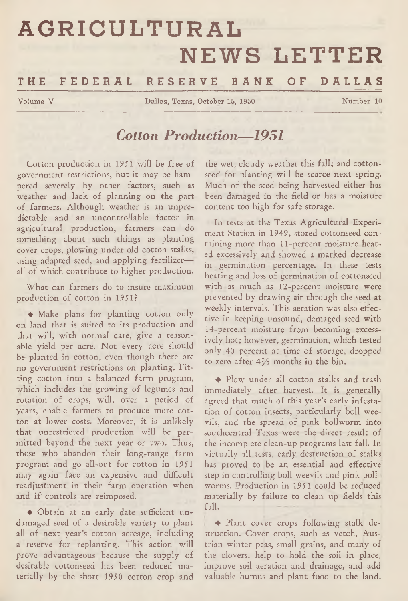# **AGRICULTURAL NEWS LETTER**

# **THE F E DE R A L R E S E R V E BANK OF DALLAS**

Volume V Dallas, Texas, October 15, 1950 Number 10

# *Cotton Production— 1951*

Cotton production in 1951 will be free of government restrictions, but it may be hampered severely by other factors, such as weather and lack of planning on the part of farmers. Although weather is an unpredictable and an uncontrollable factor in agricultural production, farmers can do something about such things as planting cover crops, plowing under old cotton stalks, using adapted seed, and applying fertilizer all of which contribute to higher production.

What can farmers do to insure maximum production of cotton in 1951?

♦ Make plans for planting cotton only on land that is suited to its production and that will, with normal care, give a reasonable yield per acre. Not every acre should be planted in cotton, even though there are no government restrictions on planting. Fitting cotton into a balanced farm program, which includes the growing of legumes and rotation of crops, will, over a period of years, enable farmers to produce more cotton at lower costs. Moreover, it is unlikely that unrestricted production will be permitted beyond the next year or two. Thus, those who abandon their long-range farm program and go all-out for cotton in 1951 may again face an expensive and difficult readjustment in their farm operation when and if controls are reimposed.

♦ Obtain at an early date sufficient undamaged seed of a desirable variety to plant all of next year's cotton acreage, including a reserve for replanting. This action will prove advantageous because the supply of desirable cottonseed has been reduced materially by the short 1950 cotton crop and

the wet, cloudy weather this fall; and cottonseed for planting will be scarce next spring. Much of the seed being harvested either has been damaged in the field or has a moisture content too high for safe storage.

In tests at the Texas Agricultural Experiment Station in 1949, stored cottonseed containing more than 11-percent moisture heated excessively and showed a marked decrease in germination percentage. In these tests heating and loss of germination of cottonseed with as much as 12-percent moisture were prevented by drawing air through the seed at weekly intervals. This aeration was also effective in keeping unsound, damaged seed with 14-percent moisture from becoming excessively hot; however, germination, which tested only 40 percent at time of storage, dropped to zero after  $4\frac{1}{2}$  months in the bin.

♦ Plow under all cotton stalks and trash immediately after harvest. It is generally agreed that much of this year's early infestation of cotton insects, particularly boll weevils, and the spread of pink bollworm into southcentral Texas were the direct result of the incomplete clean-up programs last fall. In virtually all tests, early destruction of stalks has proved to be an essential and effective step in controlling boll weevils and pink bollworms. Production in 1951 could be reduced materially by failure to clean up fields this fall.

❖ Plant cover crops following stalk destruction. Cover crops, such as vetch, Austrian winter peas, small grains, and many of the clovers, help to hold the soil in place, improve soil aeration and drainage, and add valuable humus and plant food to the land.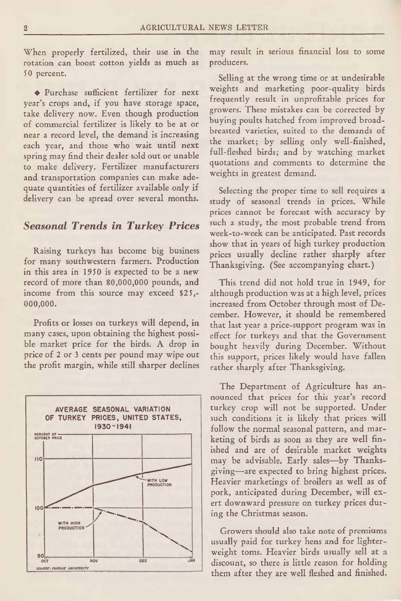When properly fertilized, their use in the rotation can boost cotton yields as much as 50 percent.

♦ Purchase sufficient fertilizer for next year's crops and, if you have storage space, take delivery now. Even though production of commercial fertilizer is likely to be at or near a record level, the demand is increasing each year, and those who wait until next spring may find their dealer sold out or unable to make delivery. Fertilizer manufacturers and transportation companies can make adequate quantities of fertilizer available only if delivery can be spread over several months.

#### *Seasonal Trends in Turkey Prices*

Raising turkeys has become big business for many southwestern farmers. Production in this area in 1950 is expected to be a new record of more than 80,000,000 pounds, and income from this source may exceed \$25,- **000,000.**

Profits or losses on turkeys will depend, in many cases, upon obtaining the highest possible market price for the birds. A drop in price of 2 or 3 cents per pound may wipe out the profit margin, while still sharper declines



may result in serious financial loss to some producers.

Selling at the wrong time or at undesirable weights and marketing poor-quality birds frequently result in unprofitable prices for growers. These mistakes can be corrected by buying poults hatched from improved broadbreasted varieties, suited to the demands of the market; by selling only well-finished, full-fleshed birds; and by watching market quotations and comments to determine the weights in greatest demand.

Selecting the proper time to sell requires a study of seasonal trends in prices. While prices cannot be forecast with accuracy by such a study, the most probable trend from week-to-week can be anticipated. Past records show that in years of high turkey production prices usually decline rather sharply after Thanksgiving. (See accompanying chart.)

This trend did not hold true in 1949, for although production was at a high level, prices increased from October through most of December. However, it should be remembered that last year a price-support program was in effect for turkeys and that the Government bought heavily during December. Without this support, prices likely would have fallen rather sharply after Thanksgiving.

The Department of Agriculture has announced that prices for this year's record turkey crop will not be supported. Under such conditions it is likely that prices will follow the normal seasonal pattern, and marketing of birds as soon as they are well finished and are of desirable market weights may be advisable. Early sales—by Thanksgiving—are expected to bring highest prices. Heavier marketings of broilers as well as of pork, anticipated during December, will exert downward pressure on turkey prices during the Christmas season.

Growers should also take note of premiums usually paid for turkey hens and for lighterweight toms. Heavier birds usually sell at a discount, so there is little reason for holding them after they are well fleshed and finished.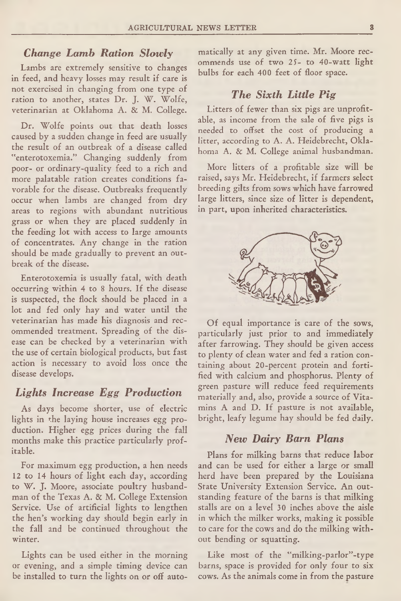#### *Change Lamb Ration Slowly*

Lambs are extremely sensitive to changes in feed, and heavy losses may result if care is not exercised in changing from one type of ration to another, states Dr. J. W. Wolfe, veterinarian at Oklahoma A. & M. College.

Dr. Wolfe points out that death losses caused by a sudden change in feed are usually the result of an outbreak of a disease called "enterotoxemia." Changing suddenly from poor- or ordinary-quality feed to a rich and more palatable ration creates conditions favorable for the disease. Outbreaks frequently occur when lambs are changed from dry areas to regions with abundant nutritious grass or when they are placed suddenly in the feeding lot with access to large amounts of concentrates. Any change in the ration should be made gradually to prevent an outbreak of the disease.

Enterotoxemia is usually fatal, with death occurring within 4 to 8 hours. If the disease is suspected, the flock should be placed in a lot and fed only hay and water until the veterinarian has made his diagnosis and recommended treatment. Spreading of the disease can be checked by a veterinarian with the use of certain biological products, but fast action is necessary to avoid loss once the disease develops.

## *Lights Increase Egg Production*

As days become shorter, use of electric lights in the laying house increases egg production. Higher egg prices during the fall months make this practice particularly profitable.

For maximum egg production, a hen needs 12 to 14 hours of light each day, according to W. J. Moore, associate poultry husbandman of the Texas A. & M. College Extension Service. Use of artificial lights to lengthen the hen's working day should begin early in the fall and be continued throughout the winter.

Lights can be used either in the morning or evening, and a simple timing device can be installed to turn the lights on or off automatically at any given time. Mr. Moore recommends use of two 25- to 40-watt light bulbs for each 400 feet of floor space.

#### **The Sixth Little Pig**

Litters of fewer than six pigs are unprofitable, as income from the sale of five pigs is needed to offset the cost of producing a litter, according to A. A. Heidebrecht, Oklahoma A. & M. College animal husbandman.

More litters of a profitable size will be raised, says Mr. Heidebrecht, if farmers select breeding gilts from sows which have farrowed large litters, since size of litter is dependent, in part, upon inherited characteristics.



Of equal importance is care of the sows, particularly just prior to and immediately after farrowing. They should be given access to plenty of clean water and fed a ration containing about 20-percent protein and fortified with calcium and phosphorus. Plenty of green pasture will reduce feed requirements materially and, also, provide a source of Vitamins A and D. If pasture is not available, bright, leafy legume hay should be fed daily.

#### *New D airy Barn Plans*

Plans for milking barns that reduce labor and can be used for either a large or small herd have been prepared by the Louisiana State University Extension Service. An outstanding feature of the barns is that milking stalls are on a level 30 inches above the aisle in which the milker works, making it possible to care for the cows and do the milking without bending or squatting.

Like most of the "milking-parlor"-type barns, space is provided for only four to six cows. As the animals come in from the pasture